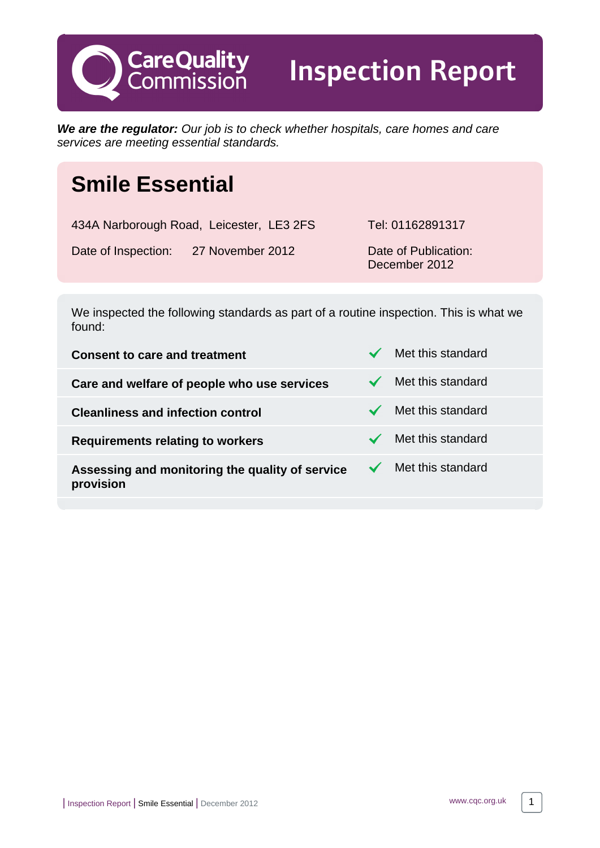

Inspection Report

**We are the regulator:** Our job is to check whether hospitals, care homes and care services are meeting essential standards.

# **Smile Essential**

434A Narborough Road, Leicester, LE3 2FS Tel: 01162891317 Date of Inspection: 27 November 2012 Date of Publication: December 2012

We inspected the following standards as part of a routine inspection. This is what we found:

**Consent to care and treatment** Met this standard **Care and welfare of people who use services**  $\checkmark$  **Met this standard Cleanliness and infection control Weight Cleanliness and infection control Requirements relating to workers** Met this standard **Assessing and monitoring the quality of service provision** Met this standard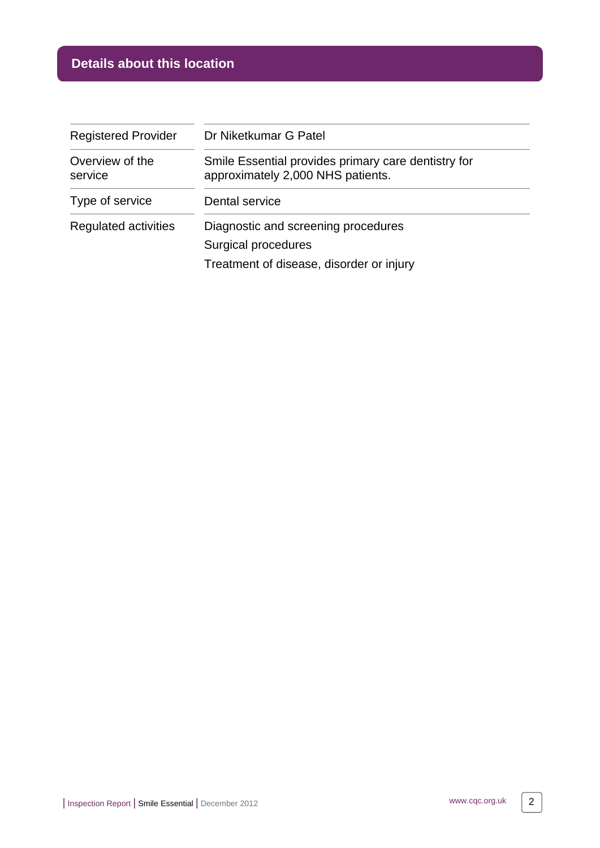## **Details about this location**

| <b>Registered Provider</b> | Dr Niketkumar G Patel                                                                                  |
|----------------------------|--------------------------------------------------------------------------------------------------------|
| Overview of the<br>service | Smile Essential provides primary care dentistry for<br>approximately 2,000 NHS patients.               |
| Type of service            | Dental service                                                                                         |
| Regulated activities       | Diagnostic and screening procedures<br>Surgical procedures<br>Treatment of disease, disorder or injury |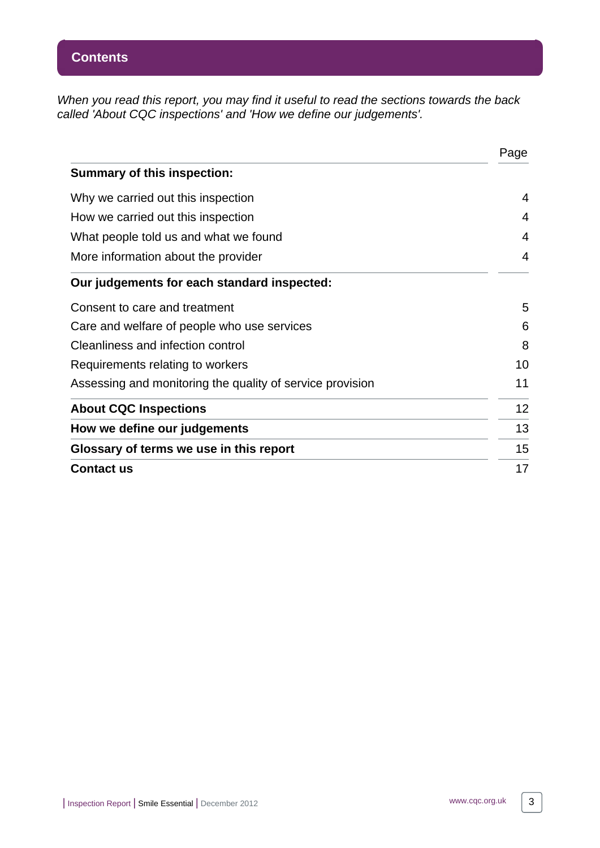When you read this report, you may find it useful to read the sections towards the back called 'About CQC inspections' and 'How we define our judgements'.

|                                                           | Page |
|-----------------------------------------------------------|------|
| <b>Summary of this inspection:</b>                        |      |
| Why we carried out this inspection                        | 4    |
| How we carried out this inspection                        | 4    |
| What people told us and what we found                     | 4    |
| More information about the provider                       | 4    |
| Our judgements for each standard inspected:               |      |
| Consent to care and treatment                             | 5    |
| Care and welfare of people who use services               | 6    |
| Cleanliness and infection control                         | 8    |
| Requirements relating to workers                          | 10   |
| Assessing and monitoring the quality of service provision | 11   |
| <b>About CQC Inspections</b>                              | 12   |
| How we define our judgements                              | 13   |
| Glossary of terms we use in this report                   | 15   |
| <b>Contact us</b>                                         | 17   |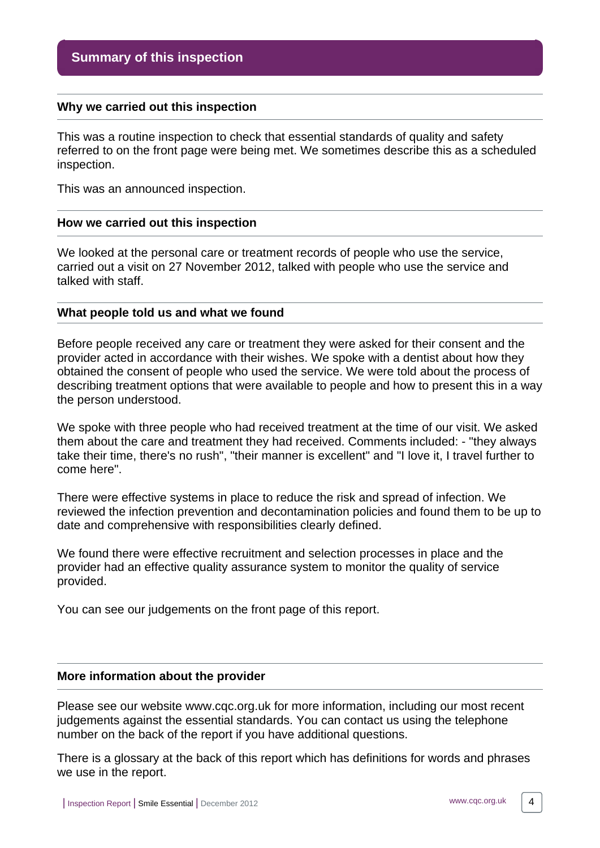#### <span id="page-3-0"></span>**Why we carried out this inspection**

This was a routine inspection to check that essential standards of quality and safety referred to on the front page were being met. We sometimes describe this as a scheduled inspection.

This was an announced inspection.

#### <span id="page-3-1"></span>**How we carried out this inspection**

We looked at the personal care or treatment records of people who use the service, carried out a visit on 27 November 2012, talked with people who use the service and talked with staff.

#### <span id="page-3-2"></span>**What people told us and what we found**

Before people received any care or treatment they were asked for their consent and the provider acted in accordance with their wishes. We spoke with a dentist about how they obtained the consent of people who used the service. We were told about the process of describing treatment options that were available to people and how to present this in a way the person understood.

We spoke with three people who had received treatment at the time of our visit. We asked them about the care and treatment they had received. Comments included: - "they always take their time, there's no rush", "their manner is excellent" and "I love it, I travel further to come here".

There were effective systems in place to reduce the risk and spread of infection. We reviewed the infection prevention and decontamination policies and found them to be up to date and comprehensive with responsibilities clearly defined.

We found there were effective recruitment and selection processes in place and the provider had an effective quality assurance system to monitor the quality of service provided.

You can see our judgements on the front page of this report.

#### <span id="page-3-3"></span>**More information about the provider**

Please see our website www.cqc.org.uk for more information, including our most recent judgements against the essential standards. You can contact us using the telephone number on the back of the report if you have additional questions.

There is a glossary at the back of this report which has definitions for words and phrases we use in the report.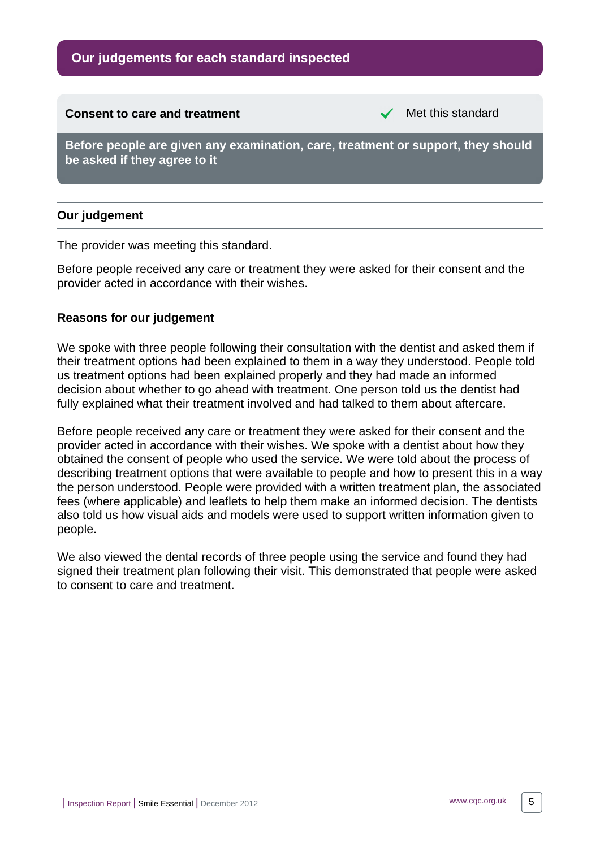## **Our judgements for each standard inspected**

#### <span id="page-4-0"></span>**Consent to care and treatment** Met this standard

**Before people are given any examination, care, treatment or support, they should be asked if they agree to it**

#### **Our judgement**

The provider was meeting this standard.

Before people received any care or treatment they were asked for their consent and the provider acted in accordance with their wishes.

#### **Reasons for our judgement**

We spoke with three people following their consultation with the dentist and asked them if their treatment options had been explained to them in a way they understood. People told us treatment options had been explained properly and they had made an informed decision about whether to go ahead with treatment. One person told us the dentist had fully explained what their treatment involved and had talked to them about aftercare.

Before people received any care or treatment they were asked for their consent and the provider acted in accordance with their wishes. We spoke with a dentist about how they obtained the consent of people who used the service. We were told about the process of describing treatment options that were available to people and how to present this in a way the person understood. People were provided with a written treatment plan, the associated fees (where applicable) and leaflets to help them make an informed decision. The dentists also told us how visual aids and models were used to support written information given to people.

We also viewed the dental records of three people using the service and found they had signed their treatment plan following their visit. This demonstrated that people were asked to consent to care and treatment.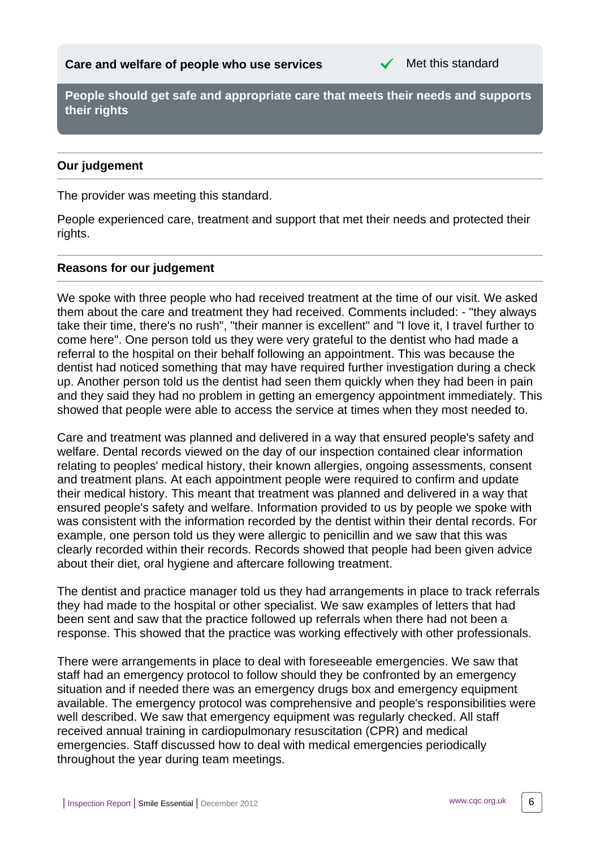

<span id="page-5-0"></span>**People should get safe and appropriate care that meets their needs and supports their rights**

## **Our judgement**

The provider was meeting this standard.

People experienced care, treatment and support that met their needs and protected their rights.

## **Reasons for our judgement**

We spoke with three people who had received treatment at the time of our visit. We asked them about the care and treatment they had received. Comments included: - "they always take their time, there's no rush", "their manner is excellent" and "I love it, I travel further to come here". One person told us they were very grateful to the dentist who had made a referral to the hospital on their behalf following an appointment. This was because the dentist had noticed something that may have required further investigation during a check up. Another person told us the dentist had seen them quickly when they had been in pain and they said they had no problem in getting an emergency appointment immediately. This showed that people were able to access the service at times when they most needed to.

Care and treatment was planned and delivered in a way that ensured people's safety and welfare. Dental records viewed on the day of our inspection contained clear information relating to peoples' medical history, their known allergies, ongoing assessments, consent and treatment plans. At each appointment people were required to confirm and update their medical history. This meant that treatment was planned and delivered in a way that ensured people's safety and welfare. Information provided to us by people we spoke with was consistent with the information recorded by the dentist within their dental records. For example, one person told us they were allergic to penicillin and we saw that this was clearly recorded within their records. Records showed that people had been given advice about their diet, oral hygiene and aftercare following treatment.

The dentist and practice manager told us they had arrangements in place to track referrals they had made to the hospital or other specialist. We saw examples of letters that had been sent and saw that the practice followed up referrals when there had not been a response. This showed that the practice was working effectively with other professionals.

There were arrangements in place to deal with foreseeable emergencies. We saw that staff had an emergency protocol to follow should they be confronted by an emergency situation and if needed there was an emergency drugs box and emergency equipment available. The emergency protocol was comprehensive and people's responsibilities were well described. We saw that emergency equipment was regularly checked. All staff received annual training in cardiopulmonary resuscitation (CPR) and medical emergencies. Staff discussed how to deal with medical emergencies periodically throughout the year during team meetings.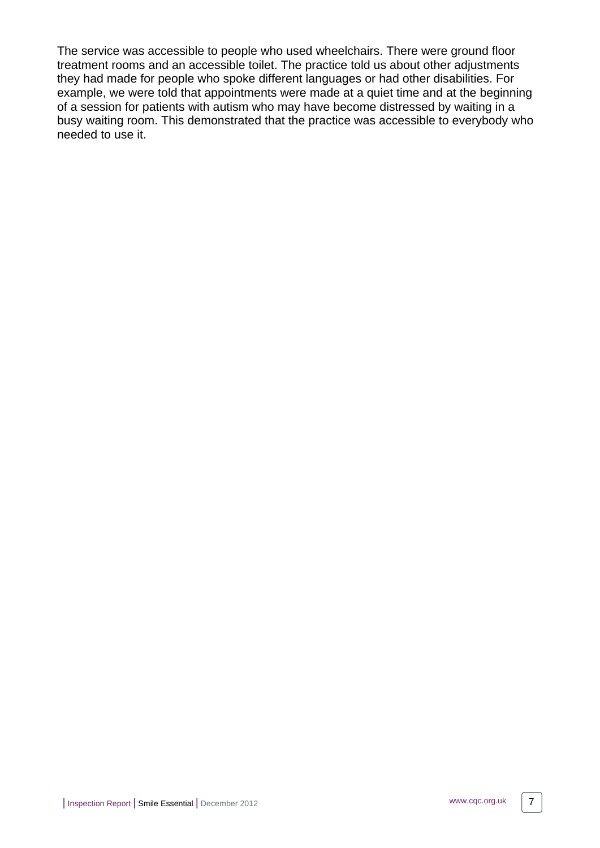The service was accessible to people who used wheelchairs. There were ground floor treatment rooms and an accessible toilet. The practice told us about other adjustments they had made for people who spoke different languages or had other disabilities. For example, we were told that appointments were made at a quiet time and at the beginning of a session for patients with autism who may have become distressed by waiting in a busy waiting room. This demonstrated that the practice was accessible to everybody who needed to use it.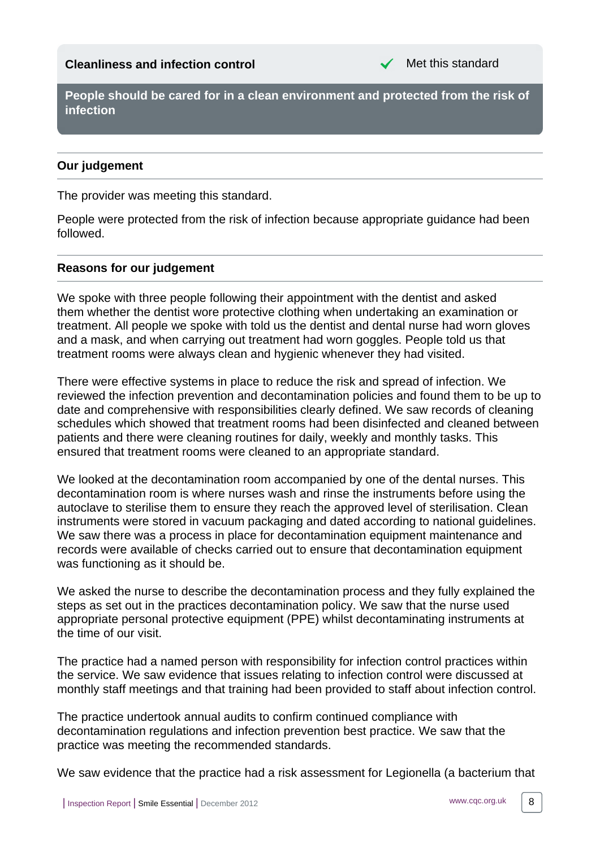<span id="page-7-0"></span>**People should be cared for in a clean environment and protected from the risk of infection**

## **Our judgement**

The provider was meeting this standard.

People were protected from the risk of infection because appropriate guidance had been followed.

## **Reasons for our judgement**

We spoke with three people following their appointment with the dentist and asked them whether the dentist wore protective clothing when undertaking an examination or treatment. All people we spoke with told us the dentist and dental nurse had worn gloves and a mask, and when carrying out treatment had worn goggles. People told us that treatment rooms were always clean and hygienic whenever they had visited.

There were effective systems in place to reduce the risk and spread of infection. We reviewed the infection prevention and decontamination policies and found them to be up to date and comprehensive with responsibilities clearly defined. We saw records of cleaning schedules which showed that treatment rooms had been disinfected and cleaned between patients and there were cleaning routines for daily, weekly and monthly tasks. This ensured that treatment rooms were cleaned to an appropriate standard.

We looked at the decontamination room accompanied by one of the dental nurses. This decontamination room is where nurses wash and rinse the instruments before using the autoclave to sterilise them to ensure they reach the approved level of sterilisation. Clean instruments were stored in vacuum packaging and dated according to national guidelines. We saw there was a process in place for decontamination equipment maintenance and records were available of checks carried out to ensure that decontamination equipment was functioning as it should be.

We asked the nurse to describe the decontamination process and they fully explained the steps as set out in the practices decontamination policy. We saw that the nurse used appropriate personal protective equipment (PPE) whilst decontaminating instruments at the time of our visit.

The practice had a named person with responsibility for infection control practices within the service. We saw evidence that issues relating to infection control were discussed at monthly staff meetings and that training had been provided to staff about infection control.

The practice undertook annual audits to confirm continued compliance with decontamination regulations and infection prevention best practice. We saw that the practice was meeting the recommended standards.

We saw evidence that the practice had a risk assessment for Legionella (a bacterium that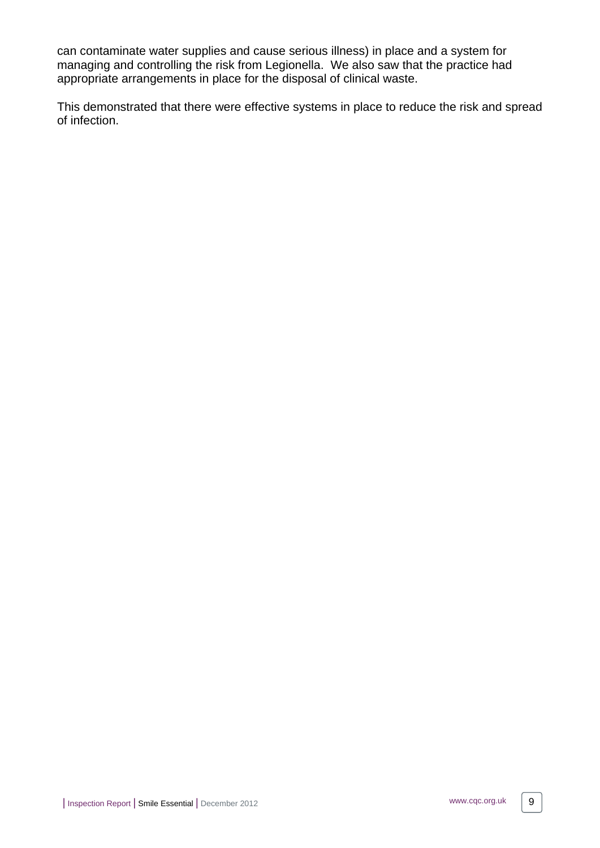can contaminate water supplies and cause serious illness) in place and a system for managing and controlling the risk from Legionella. We also saw that the practice had appropriate arrangements in place for the disposal of clinical waste.

This demonstrated that there were effective systems in place to reduce the risk and spread of infection.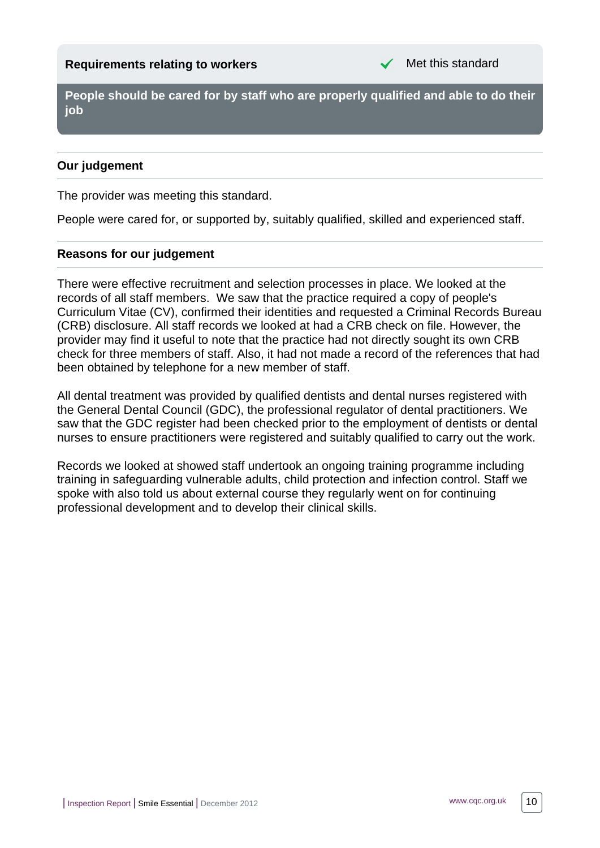<span id="page-9-0"></span>**People should be cared for by staff who are properly qualified and able to do their job**

## **Our judgement**

The provider was meeting this standard.

People were cared for, or supported by, suitably qualified, skilled and experienced staff.

## **Reasons for our judgement**

There were effective recruitment and selection processes in place. We looked at the records of all staff members. We saw that the practice required a copy of people's Curriculum Vitae (CV), confirmed their identities and requested a Criminal Records Bureau (CRB) disclosure. All staff records we looked at had a CRB check on file. However, the provider may find it useful to note that the practice had not directly sought its own CRB check for three members of staff. Also, it had not made a record of the references that had been obtained by telephone for a new member of staff.

All dental treatment was provided by qualified dentists and dental nurses registered with the General Dental Council (GDC), the professional regulator of dental practitioners. We saw that the GDC register had been checked prior to the employment of dentists or dental nurses to ensure practitioners were registered and suitably qualified to carry out the work.

Records we looked at showed staff undertook an ongoing training programme including training in safeguarding vulnerable adults, child protection and infection control. Staff we spoke with also told us about external course they regularly went on for continuing professional development and to develop their clinical skills.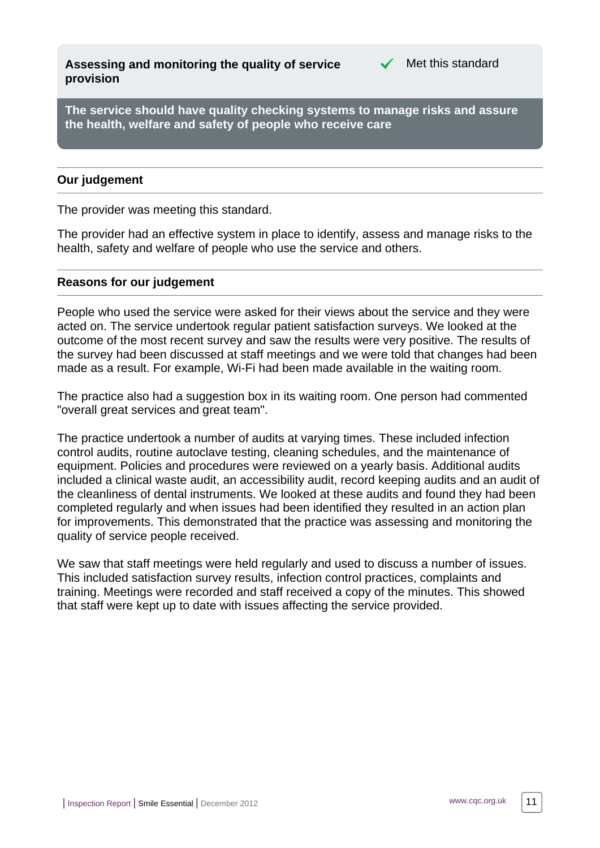<span id="page-10-0"></span>**Assessing and monitoring the quality of service provision**



**The service should have quality checking systems to manage risks and assure the health, welfare and safety of people who receive care**

#### **Our judgement**

The provider was meeting this standard.

The provider had an effective system in place to identify, assess and manage risks to the health, safety and welfare of people who use the service and others.

#### **Reasons for our judgement**

People who used the service were asked for their views about the service and they were acted on. The service undertook regular patient satisfaction surveys. We looked at the outcome of the most recent survey and saw the results were very positive. The results of the survey had been discussed at staff meetings and we were told that changes had been made as a result. For example, Wi-Fi had been made available in the waiting room.

The practice also had a suggestion box in its waiting room. One person had commented "overall great services and great team".

The practice undertook a number of audits at varying times. These included infection control audits, routine autoclave testing, cleaning schedules, and the maintenance of equipment. Policies and procedures were reviewed on a yearly basis. Additional audits included a clinical waste audit, an accessibility audit, record keeping audits and an audit of the cleanliness of dental instruments. We looked at these audits and found they had been completed regularly and when issues had been identified they resulted in an action plan for improvements. This demonstrated that the practice was assessing and monitoring the quality of service people received.

We saw that staff meetings were held regularly and used to discuss a number of issues. This included satisfaction survey results, infection control practices, complaints and training. Meetings were recorded and staff received a copy of the minutes. This showed that staff were kept up to date with issues affecting the service provided.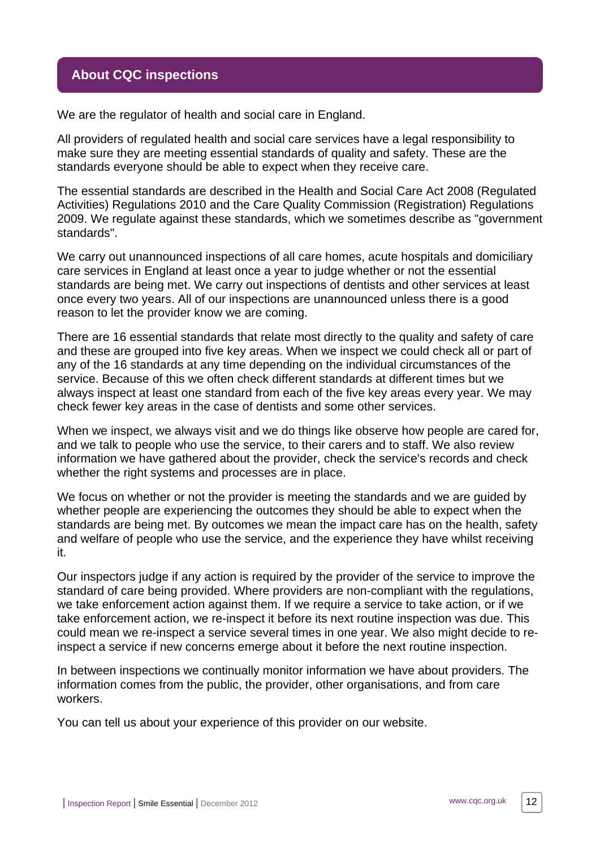## <span id="page-11-0"></span>**About CQC inspections**

We are the regulator of health and social care in England.

All providers of regulated health and social care services have a legal responsibility to make sure they are meeting essential standards of quality and safety. These are the standards everyone should be able to expect when they receive care.

The essential standards are described in the Health and Social Care Act 2008 (Regulated Activities) Regulations 2010 and the Care Quality Commission (Registration) Regulations 2009. We regulate against these standards, which we sometimes describe as "government standards".

We carry out unannounced inspections of all care homes, acute hospitals and domiciliary care services in England at least once a year to judge whether or not the essential standards are being met. We carry out inspections of dentists and other services at least once every two years. All of our inspections are unannounced unless there is a good reason to let the provider know we are coming.

There are 16 essential standards that relate most directly to the quality and safety of care and these are grouped into five key areas. When we inspect we could check all or part of any of the 16 standards at any time depending on the individual circumstances of the service. Because of this we often check different standards at different times but we always inspect at least one standard from each of the five key areas every year. We may check fewer key areas in the case of dentists and some other services.

When we inspect, we always visit and we do things like observe how people are cared for, and we talk to people who use the service, to their carers and to staff. We also review information we have gathered about the provider, check the service's records and check whether the right systems and processes are in place.

We focus on whether or not the provider is meeting the standards and we are guided by whether people are experiencing the outcomes they should be able to expect when the standards are being met. By outcomes we mean the impact care has on the health, safety and welfare of people who use the service, and the experience they have whilst receiving it.

Our inspectors judge if any action is required by the provider of the service to improve the standard of care being provided. Where providers are non-compliant with the regulations, we take enforcement action against them. If we require a service to take action, or if we take enforcement action, we re-inspect it before its next routine inspection was due. This could mean we re-inspect a service several times in one year. We also might decide to reinspect a service if new concerns emerge about it before the next routine inspection.

In between inspections we continually monitor information we have about providers. The information comes from the public, the provider, other organisations, and from care workers.

You can tell us about your experience of this provider on our website.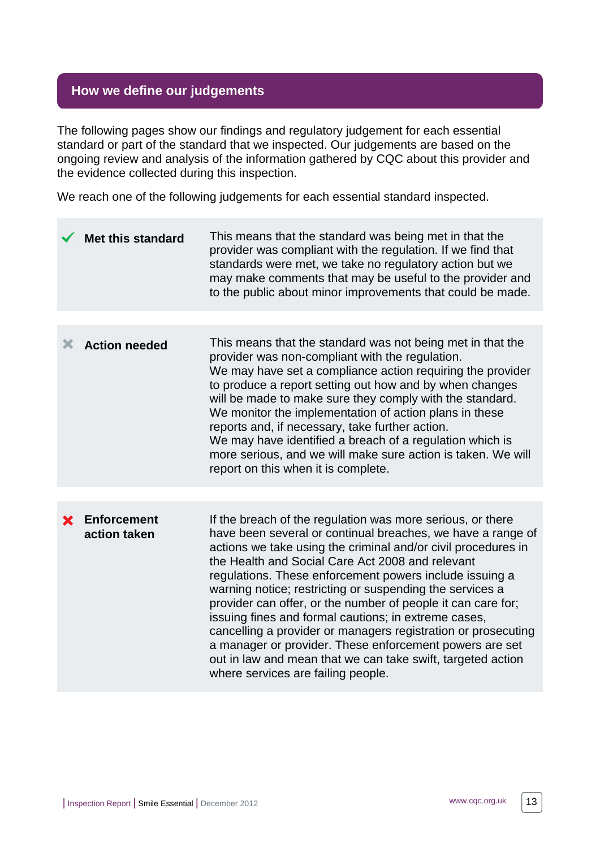## <span id="page-12-0"></span>**How we define our judgements**

The following pages show our findings and regulatory judgement for each essential standard or part of the standard that we inspected. Our judgements are based on the ongoing review and analysis of the information gathered by CQC about this provider and the evidence collected during this inspection.

We reach one of the following judgements for each essential standard inspected.

|   | <b>Met this standard</b>           | This means that the standard was being met in that the<br>provider was compliant with the regulation. If we find that<br>standards were met, we take no regulatory action but we<br>may make comments that may be useful to the provider and<br>to the public about minor improvements that could be made.                                                                                                                                                                                                                                                                                                                                                                                                                     |
|---|------------------------------------|--------------------------------------------------------------------------------------------------------------------------------------------------------------------------------------------------------------------------------------------------------------------------------------------------------------------------------------------------------------------------------------------------------------------------------------------------------------------------------------------------------------------------------------------------------------------------------------------------------------------------------------------------------------------------------------------------------------------------------|
|   |                                    |                                                                                                                                                                                                                                                                                                                                                                                                                                                                                                                                                                                                                                                                                                                                |
| Х | <b>Action needed</b>               | This means that the standard was not being met in that the<br>provider was non-compliant with the regulation.<br>We may have set a compliance action requiring the provider<br>to produce a report setting out how and by when changes<br>will be made to make sure they comply with the standard.<br>We monitor the implementation of action plans in these<br>reports and, if necessary, take further action.<br>We may have identified a breach of a regulation which is<br>more serious, and we will make sure action is taken. We will<br>report on this when it is complete.                                                                                                                                             |
|   |                                    |                                                                                                                                                                                                                                                                                                                                                                                                                                                                                                                                                                                                                                                                                                                                |
| X | <b>Enforcement</b><br>action taken | If the breach of the regulation was more serious, or there<br>have been several or continual breaches, we have a range of<br>actions we take using the criminal and/or civil procedures in<br>the Health and Social Care Act 2008 and relevant<br>regulations. These enforcement powers include issuing a<br>warning notice; restricting or suspending the services a<br>provider can offer, or the number of people it can care for;<br>issuing fines and formal cautions; in extreme cases,<br>cancelling a provider or managers registration or prosecuting<br>a manager or provider. These enforcement powers are set<br>out in law and mean that we can take swift, targeted action<br>where services are failing people. |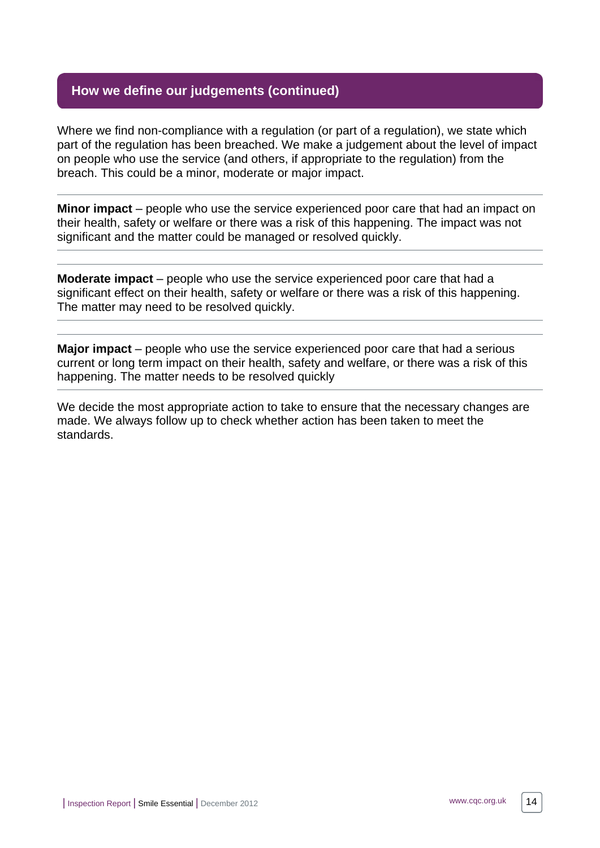## **How we define our judgements (continued)**

Where we find non-compliance with a regulation (or part of a regulation), we state which part of the regulation has been breached. We make a judgement about the level of impact on people who use the service (and others, if appropriate to the regulation) from the breach. This could be a minor, moderate or major impact.

**Minor impact** – people who use the service experienced poor care that had an impact on their health, safety or welfare or there was a risk of this happening. The impact was not significant and the matter could be managed or resolved quickly.

**Moderate impact** – people who use the service experienced poor care that had a significant effect on their health, safety or welfare or there was a risk of this happening. The matter may need to be resolved quickly.

**Major impact** – people who use the service experienced poor care that had a serious current or long term impact on their health, safety and welfare, or there was a risk of this happening. The matter needs to be resolved quickly

We decide the most appropriate action to take to ensure that the necessary changes are made. We always follow up to check whether action has been taken to meet the standards.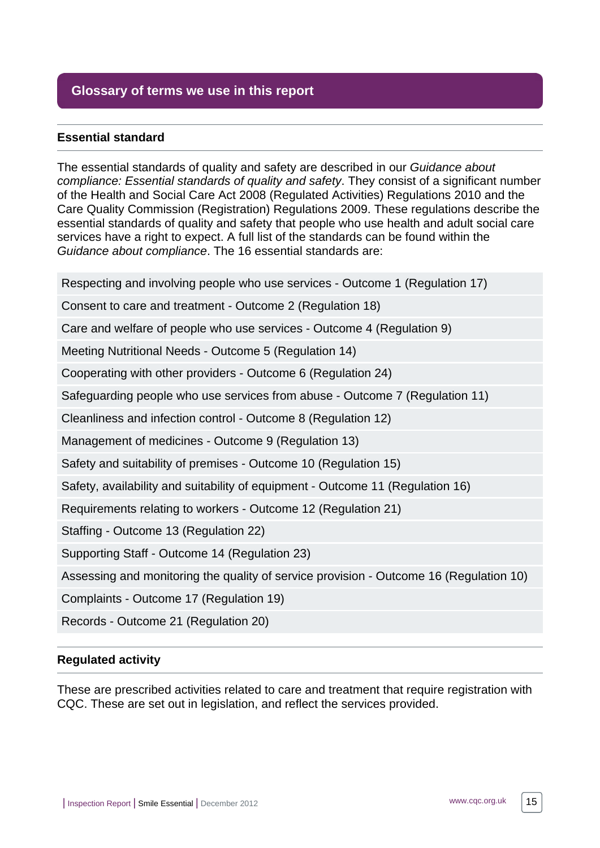## <span id="page-14-0"></span>**Glossary of terms we use in this report**

#### **Essential standard**

The essential standards of quality and safety are described in our Guidance about compliance: Essential standards of quality and safety. They consist of a significant number of the Health and Social Care Act 2008 (Regulated Activities) Regulations 2010 and the Care Quality Commission (Registration) Regulations 2009. These regulations describe the essential standards of quality and safety that people who use health and adult social care services have a right to expect. A full list of the standards can be found within the Guidance about compliance. The 16 essential standards are:

Respecting and involving people who use services - Outcome 1 (Regulation 17)

Consent to care and treatment - Outcome 2 (Regulation 18)

Care and welfare of people who use services - Outcome 4 (Regulation 9)

Meeting Nutritional Needs - Outcome 5 (Regulation 14)

Cooperating with other providers - Outcome 6 (Regulation 24)

Safeguarding people who use services from abuse - Outcome 7 (Regulation 11)

Cleanliness and infection control - Outcome 8 (Regulation 12)

Management of medicines - Outcome 9 (Regulation 13)

Safety and suitability of premises - Outcome 10 (Regulation 15)

Safety, availability and suitability of equipment - Outcome 11 (Regulation 16)

Requirements relating to workers - Outcome 12 (Regulation 21)

Staffing - Outcome 13 (Regulation 22)

Supporting Staff - Outcome 14 (Regulation 23)

Assessing and monitoring the quality of service provision - Outcome 16 (Regulation 10)

Complaints - Outcome 17 (Regulation 19)

Records - Outcome 21 (Regulation 20)

#### **Regulated activity**

These are prescribed activities related to care and treatment that require registration with CQC. These are set out in legislation, and reflect the services provided.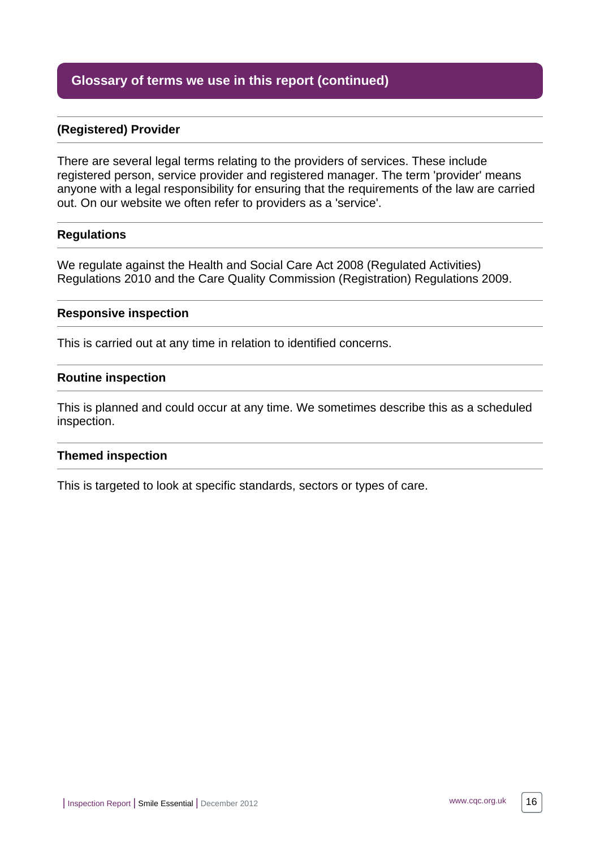## **Glossary of terms we use in this report (continued)**

#### **(Registered) Provider**

There are several legal terms relating to the providers of services. These include registered person, service provider and registered manager. The term 'provider' means anyone with a legal responsibility for ensuring that the requirements of the law are carried out. On our website we often refer to providers as a 'service'.

#### **Regulations**

We regulate against the Health and Social Care Act 2008 (Regulated Activities) Regulations 2010 and the Care Quality Commission (Registration) Regulations 2009.

#### **Responsive inspection**

This is carried out at any time in relation to identified concerns.

#### **Routine inspection**

This is planned and could occur at any time. We sometimes describe this as a scheduled inspection.

#### **Themed inspection**

This is targeted to look at specific standards, sectors or types of care.